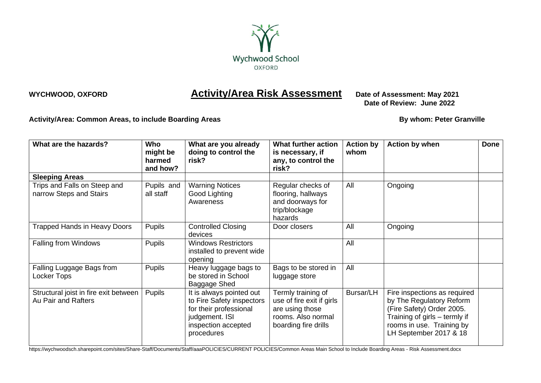

## **WYCHWOOD, OXFORD <b>Activity/Area Risk Assessment** Date of Assessment: May 2021

 **Date of Review: June 2022**

Activity/Area: Common Areas, to include Boarding Areas **By William Common Areas By whom: Peter Granville** 

| What are the hazards?                                        | <b>Who</b><br>might be<br>harmed<br>and how? | What are you already<br>doing to control the<br>risk?                                                                                  | What further action<br>is necessary, if<br>any, to control the<br>risk?                                          | <b>Action by</b><br>whom | <b>Action by when</b>                                                                                                                                                         | <b>Done</b> |
|--------------------------------------------------------------|----------------------------------------------|----------------------------------------------------------------------------------------------------------------------------------------|------------------------------------------------------------------------------------------------------------------|--------------------------|-------------------------------------------------------------------------------------------------------------------------------------------------------------------------------|-------------|
| <b>Sleeping Areas</b>                                        |                                              |                                                                                                                                        |                                                                                                                  |                          |                                                                                                                                                                               |             |
| Trips and Falls on Steep and<br>narrow Steps and Stairs      | Pupils and<br>all staff                      | <b>Warning Notices</b><br>Good Lighting<br>Awareness                                                                                   | Regular checks of<br>flooring, hallways<br>and doorways for<br>trip/blockage<br>hazards                          | All                      | Ongoing                                                                                                                                                                       |             |
| <b>Trapped Hands in Heavy Doors</b>                          | <b>Pupils</b>                                | <b>Controlled Closing</b><br>devices                                                                                                   | Door closers                                                                                                     | All                      | Ongoing                                                                                                                                                                       |             |
| Falling from Windows                                         | Pupils                                       | <b>Windows Restrictors</b><br>installed to prevent wide<br>opening                                                                     |                                                                                                                  | All                      |                                                                                                                                                                               |             |
| Falling Luggage Bags from<br>Locker Tops                     | <b>Pupils</b>                                | Heavy luggage bags to<br>be stored in School<br>Baggage Shed                                                                           | Bags to be stored in<br>luggage store                                                                            | All                      |                                                                                                                                                                               |             |
| Structural joist in fire exit between<br>Au Pair and Rafters | <b>Pupils</b>                                | It is always pointed out<br>to Fire Safety inspectors<br>for their professional<br>judgement. ISI<br>inspection accepted<br>procedures | Termly training of<br>use of fire exit if girls<br>are using those<br>rooms. Also normal<br>boarding fire drills | Bursar/LH                | Fire inspections as required<br>by The Regulatory Reform<br>(Fire Safety) Order 2005.<br>Training of girls – termly if<br>rooms in use. Training by<br>LH September 2017 & 18 |             |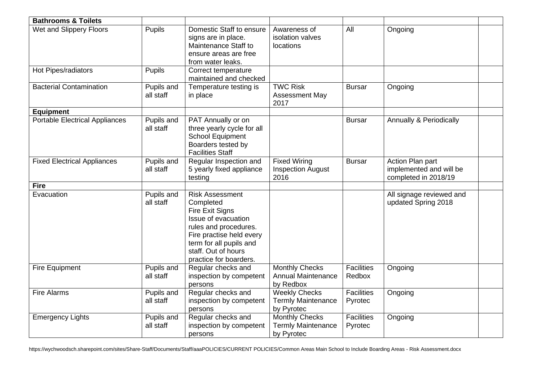| <b>Bathrooms &amp; Toilets</b>     |                                |                                                                                                                                                                                                                |                                                                  |                              |                                                                     |
|------------------------------------|--------------------------------|----------------------------------------------------------------------------------------------------------------------------------------------------------------------------------------------------------------|------------------------------------------------------------------|------------------------------|---------------------------------------------------------------------|
| Wet and Slippery Floors            | Pupils                         | Domestic Staff to ensure<br>signs are in place.<br>Maintenance Staff to<br>ensure areas are free<br>from water leaks.                                                                                          | Awareness of<br>isolation valves<br>locations                    | All                          | Ongoing                                                             |
| Hot Pipes/radiators                | <b>Pupils</b>                  | Correct temperature<br>maintained and checked                                                                                                                                                                  |                                                                  |                              |                                                                     |
| <b>Bacterial Contamination</b>     | <b>Pupils and</b><br>all staff | Temperature testing is<br>in place                                                                                                                                                                             | <b>TWC Risk</b><br>Assessment May<br>2017                        | <b>Bursar</b>                | Ongoing                                                             |
| <b>Equipment</b>                   |                                |                                                                                                                                                                                                                |                                                                  |                              |                                                                     |
| Portable Electrical Appliances     | Pupils and<br>all staff        | PAT Annually or on<br>three yearly cycle for all<br>School Equipment<br>Boarders tested by<br><b>Facilities Staff</b>                                                                                          |                                                                  | <b>Bursar</b>                | <b>Annually &amp; Periodically</b>                                  |
| <b>Fixed Electrical Appliances</b> | Pupils and<br>all staff        | Regular Inspection and<br>5 yearly fixed appliance<br>testing                                                                                                                                                  | <b>Fixed Wiring</b><br><b>Inspection August</b><br>2016          | <b>Bursar</b>                | Action Plan part<br>implemented and will be<br>completed in 2018/19 |
| <b>Fire</b>                        |                                |                                                                                                                                                                                                                |                                                                  |                              |                                                                     |
| Evacuation                         | Pupils and<br>all staff        | <b>Risk Assessment</b><br>Completed<br>Fire Exit Signs<br>Issue of evacuation<br>rules and procedures.<br>Fire practise held every<br>term for all pupils and<br>staff. Out of hours<br>practice for boarders. |                                                                  |                              | All signage reviewed and<br>updated Spring 2018                     |
| Fire Equipment                     | Pupils and<br>all staff        | Regular checks and<br>inspection by competent<br>persons                                                                                                                                                       | <b>Monthly Checks</b><br><b>Annual Maintenance</b><br>by Redbox  | <b>Facilities</b><br>Redbox  | Ongoing                                                             |
| <b>Fire Alarms</b>                 | Pupils and<br>all staff        | Regular checks and<br>inspection by competent<br>persons                                                                                                                                                       | <b>Weekly Checks</b><br><b>Termly Maintenance</b><br>by Pyrotec  | <b>Facilities</b><br>Pyrotec | Ongoing                                                             |
| <b>Emergency Lights</b>            | Pupils and<br>all staff        | Regular checks and<br>inspection by competent<br>persons                                                                                                                                                       | <b>Monthly Checks</b><br><b>Termly Maintenance</b><br>by Pyrotec | <b>Facilities</b><br>Pyrotec | Ongoing                                                             |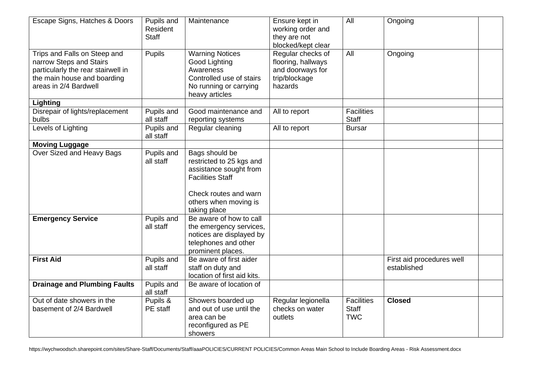| Escape Signs, Hatches & Doors                                                                                                                         | Pupils and<br>Resident<br><b>Staff</b> | Maintenance                                                                                                                                                       | Ensure kept in<br>working order and<br>they are not<br>blocked/kept clear               | All                                             | Ongoing                                  |
|-------------------------------------------------------------------------------------------------------------------------------------------------------|----------------------------------------|-------------------------------------------------------------------------------------------------------------------------------------------------------------------|-----------------------------------------------------------------------------------------|-------------------------------------------------|------------------------------------------|
| Trips and Falls on Steep and<br>narrow Steps and Stairs<br>particularly the rear stairwell in<br>the main house and boarding<br>areas in 2/4 Bardwell | Pupils                                 | <b>Warning Notices</b><br>Good Lighting<br>Awareness<br>Controlled use of stairs<br>No running or carrying<br>heavy articles                                      | Regular checks of<br>flooring, hallways<br>and doorways for<br>trip/blockage<br>hazards | All                                             | Ongoing                                  |
| Lighting                                                                                                                                              |                                        |                                                                                                                                                                   |                                                                                         |                                                 |                                          |
| Disrepair of lights/replacement<br>bulbs                                                                                                              | Pupils and<br>all staff                | Good maintenance and<br>reporting systems                                                                                                                         | All to report                                                                           | <b>Facilities</b><br>Staff                      |                                          |
| Levels of Lighting                                                                                                                                    | Pupils and<br>all staff                | Regular cleaning                                                                                                                                                  | All to report                                                                           | <b>Bursar</b>                                   |                                          |
| <b>Moving Luggage</b>                                                                                                                                 |                                        |                                                                                                                                                                   |                                                                                         |                                                 |                                          |
| Over Sized and Heavy Bags                                                                                                                             | Pupils and<br>all staff                | Bags should be<br>restricted to 25 kgs and<br>assistance sought from<br><b>Facilities Staff</b><br>Check routes and warn<br>others when moving is<br>taking place |                                                                                         |                                                 |                                          |
| <b>Emergency Service</b>                                                                                                                              | Pupils and<br>all staff                | Be aware of how to call<br>the emergency services,<br>notices are displayed by<br>telephones and other<br>prominent places.                                       |                                                                                         |                                                 |                                          |
| <b>First Aid</b>                                                                                                                                      | Pupils and<br>all staff                | Be aware of first aider<br>staff on duty and<br>location of first aid kits.                                                                                       |                                                                                         |                                                 | First aid procedures well<br>established |
| <b>Drainage and Plumbing Faults</b>                                                                                                                   | Pupils and<br>all staff                | Be aware of location of                                                                                                                                           |                                                                                         |                                                 |                                          |
| Out of date showers in the<br>basement of 2/4 Bardwell                                                                                                | Pupils &<br>PE staff                   | Showers boarded up<br>and out of use until the<br>area can be<br>reconfigured as PE<br>showers                                                                    | Regular legionella<br>checks on water<br>outlets                                        | <b>Facilities</b><br><b>Staff</b><br><b>TWC</b> | <b>Closed</b>                            |